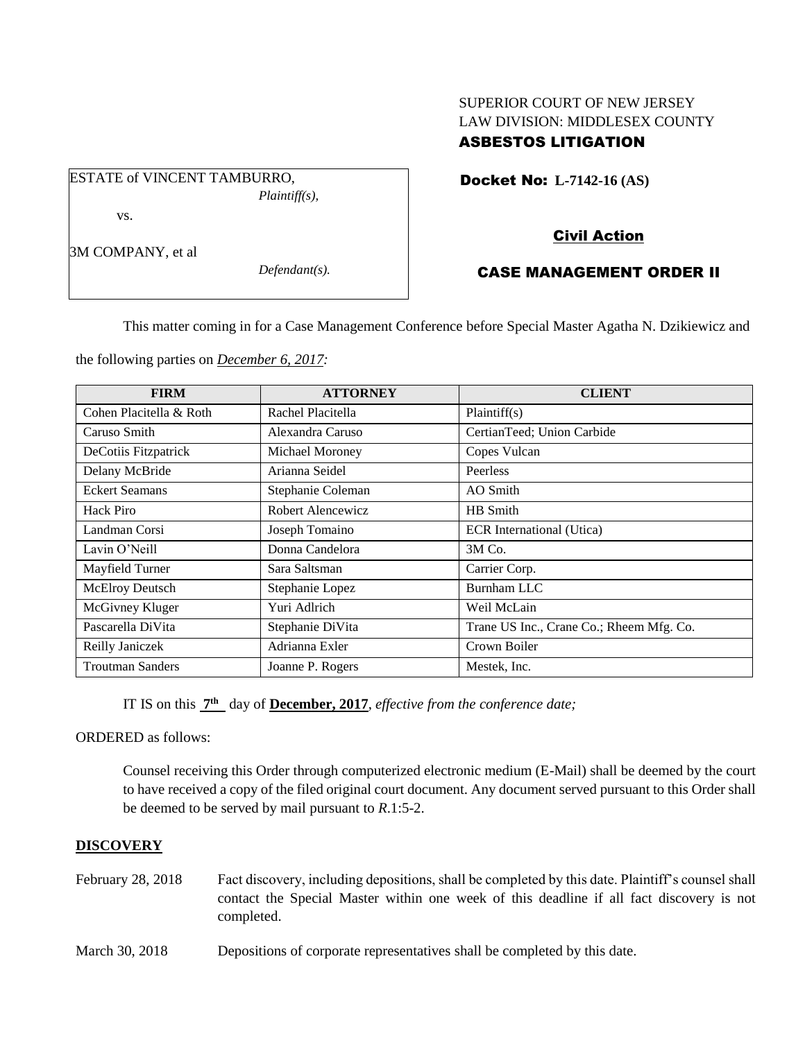# SUPERIOR COURT OF NEW JERSEY LAW DIVISION: MIDDLESEX COUNTY ASBESTOS LITIGATION

Docket No: **L-7142-16 (AS)** 

vs.

3M COMPANY, et al

*Defendant(s).*

*Plaintiff(s),*

# Civil Action

# CASE MANAGEMENT ORDER II

This matter coming in for a Case Management Conference before Special Master Agatha N. Dzikiewicz and

the following parties on *December 6, 2017:*

ESTATE of VINCENT TAMBURRO,

| <b>FIRM</b>             | <b>ATTORNEY</b>   | <b>CLIENT</b>                            |
|-------------------------|-------------------|------------------------------------------|
| Cohen Placitella & Roth | Rachel Placitella | Plaintiff(s)                             |
| Caruso Smith            | Alexandra Caruso  | CertianTeed; Union Carbide               |
| DeCotiis Fitzpatrick    | Michael Moroney   | Copes Vulcan                             |
| Delany McBride          | Arianna Seidel    | Peerless                                 |
| <b>Eckert Seamans</b>   | Stephanie Coleman | AO Smith                                 |
| Hack Piro               | Robert Alencewicz | HB Smith                                 |
| Landman Corsi           | Joseph Tomaino    | ECR International (Utica)                |
| Lavin O'Neill           | Donna Candelora   | 3M Co.                                   |
| Mayfield Turner         | Sara Saltsman     | Carrier Corp.                            |
| McElroy Deutsch         | Stephanie Lopez   | Burnham LLC                              |
| McGivney Kluger         | Yuri Adlrich      | Weil McLain                              |
| Pascarella DiVita       | Stephanie DiVita  | Trane US Inc., Crane Co.; Rheem Mfg. Co. |
| Reilly Janiczek         | Adrianna Exler    | Crown Boiler                             |
| <b>Troutman Sanders</b> | Joanne P. Rogers  | Mestek, Inc.                             |

IT IS on this **7 th** day of **December, 2017**, *effective from the conference date;*

ORDERED as follows:

Counsel receiving this Order through computerized electronic medium (E-Mail) shall be deemed by the court to have received a copy of the filed original court document. Any document served pursuant to this Order shall be deemed to be served by mail pursuant to *R*.1:5-2.

### **DISCOVERY**

- February 28, 2018 Fact discovery, including depositions, shall be completed by this date. Plaintiff's counsel shall contact the Special Master within one week of this deadline if all fact discovery is not completed.
- March 30, 2018 Depositions of corporate representatives shall be completed by this date.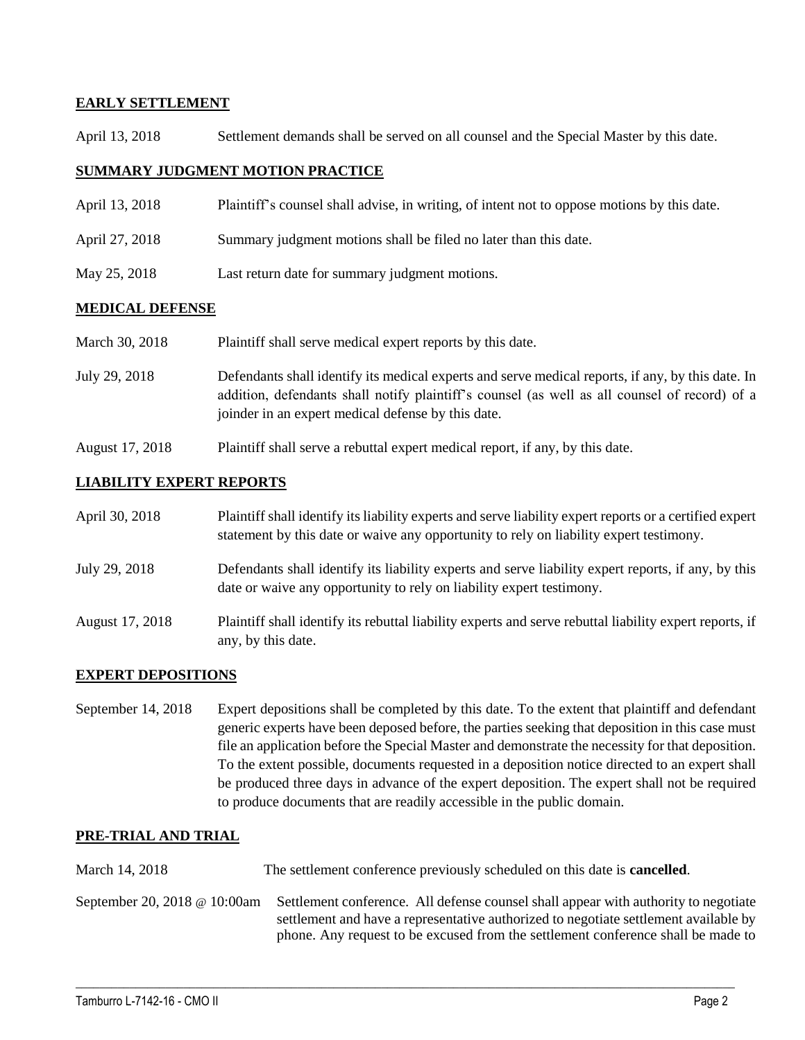### **EARLY SETTLEMENT**

April 13, 2018 Settlement demands shall be served on all counsel and the Special Master by this date.

### **SUMMARY JUDGMENT MOTION PRACTICE**

- April 13, 2018 Plaintiff's counsel shall advise, in writing, of intent not to oppose motions by this date.
- April 27, 2018 Summary judgment motions shall be filed no later than this date.
- May 25, 2018 Last return date for summary judgment motions.

#### **MEDICAL DEFENSE**

| March 30, 2018 | Plaintiff shall serve medical expert reports by this date.                                                                                                                                                                                               |
|----------------|----------------------------------------------------------------------------------------------------------------------------------------------------------------------------------------------------------------------------------------------------------|
| July 29, 2018  | Defendants shall identify its medical experts and serve medical reports, if any, by this date. In<br>addition, defendants shall notify plaintiff's counsel (as well as all counsel of record) of a<br>joinder in an expert medical defense by this date. |

August 17, 2018 Plaintiff shall serve a rebuttal expert medical report, if any, by this date.

#### **LIABILITY EXPERT REPORTS**

| April 30, 2018  | Plaintiff shall identify its liability experts and serve liability expert reports or a certified expert<br>statement by this date or waive any opportunity to rely on liability expert testimony. |
|-----------------|---------------------------------------------------------------------------------------------------------------------------------------------------------------------------------------------------|
| July 29, 2018   | Defendants shall identify its liability experts and serve liability expert reports, if any, by this<br>date or waive any opportunity to rely on liability expert testimony.                       |
| August 17, 2018 | Plaintiff shall identify its rebuttal liability experts and serve rebuttal liability expert reports, if<br>any, by this date.                                                                     |

### **EXPERT DEPOSITIONS**

September 14, 2018 Expert depositions shall be completed by this date. To the extent that plaintiff and defendant generic experts have been deposed before, the parties seeking that deposition in this case must file an application before the Special Master and demonstrate the necessity for that deposition. To the extent possible, documents requested in a deposition notice directed to an expert shall be produced three days in advance of the expert deposition. The expert shall not be required to produce documents that are readily accessible in the public domain.

#### **PRE-TRIAL AND TRIAL**

| March 14, 2018               | The settlement conference previously scheduled on this date is <b>cancelled</b> .                                                                                                                                                                               |
|------------------------------|-----------------------------------------------------------------------------------------------------------------------------------------------------------------------------------------------------------------------------------------------------------------|
| September 20, 2018 @ 10:00am | Settlement conference. All defense counsel shall appear with authority to negotiate<br>settlement and have a representative authorized to negotiate settlement available by<br>phone. Any request to be excused from the settlement conference shall be made to |

 $\_$  ,  $\_$  ,  $\_$  ,  $\_$  ,  $\_$  ,  $\_$  ,  $\_$  ,  $\_$  ,  $\_$  ,  $\_$  ,  $\_$  ,  $\_$  ,  $\_$  ,  $\_$  ,  $\_$  ,  $\_$  ,  $\_$  ,  $\_$  ,  $\_$  ,  $\_$  ,  $\_$  ,  $\_$  ,  $\_$  ,  $\_$  ,  $\_$  ,  $\_$  ,  $\_$  ,  $\_$  ,  $\_$  ,  $\_$  ,  $\_$  ,  $\_$  ,  $\_$  ,  $\_$  ,  $\_$  ,  $\_$  ,  $\_$  ,